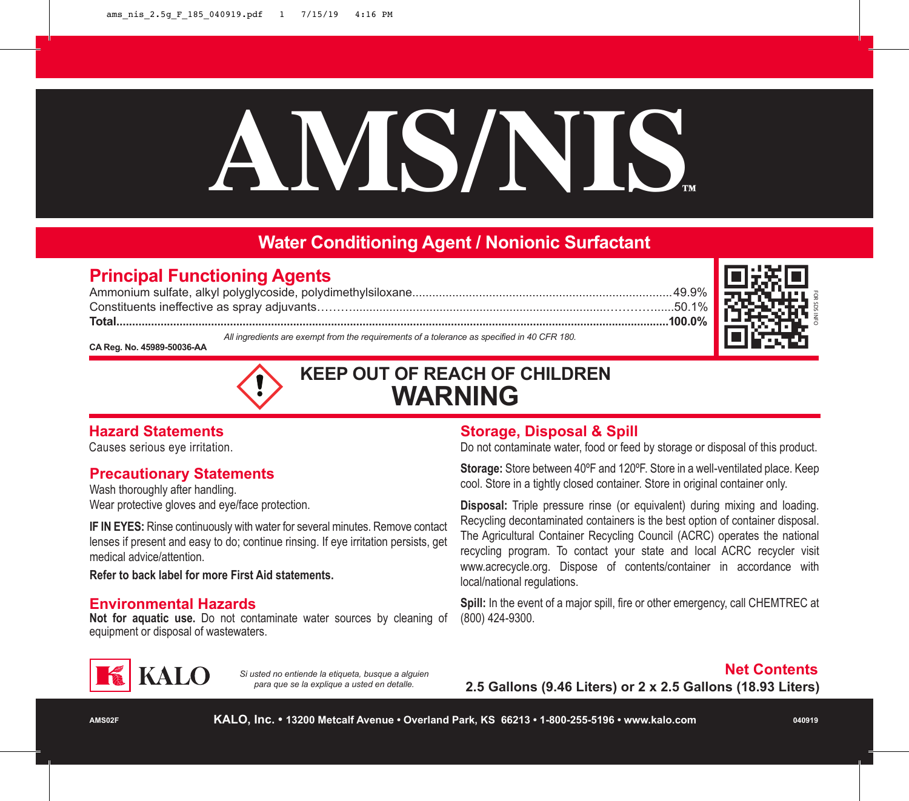# **AMS/NIS™**

# **Water Conditioning Agent / Nonionic Surfactant**

# **Principal Functioning Agents**

Ammonium sulfate, alkyl polyglycoside, polydimethylsiloxane..............................................................................49.9% Constituents ineffective as spray adjuvants………............................................................................…………......50.1% **Total...............................................................................................................................................................................100.0%** *All ingredients are exempt from the requirements of a tolerance as specified in 40 CFR 180.*



**CA Reg. No. 45989-50036-AA** 



# **KEEP OUT OF REACH OF CHILDREN WARNING**

# **Hazard Statements**

Causes serious eye irritation.

# **Precautionary Statements**

Wash thoroughly after handling. Wear protective gloves and eye/face protection.

**IF IN EYES:** Rinse continuously with water for several minutes. Remove contact lenses if present and easy to do; continue rinsing. If eye irritation persists, get medical advice/attention.

**Refer to back label for more First Aid statements.**

#### **Environmental Hazards**

**Not for aquatic use.** Do not contaminate water sources by cleaning of equipment or disposal of wastewaters.

# **Storage, Disposal & Spill**

Do not contaminate water, food or feed by storage or disposal of this product.

**Storage:** Store between 40ºF and 120ºF. Store in a well-ventilated place. Keep cool. Store in a tightly closed container. Store in original container only.

**Disposal:** Triple pressure rinse (or equivalent) during mixing and loading. Recycling decontaminated containers is the best option of container disposal. The Agricultural Container Recycling Council (ACRC) operates the national recycling program. To contact your state and local ACRC recycler visit www.acrecycle.org. Dispose of contents/container in accordance with local/national regulations.

**Spill:** In the event of a major spill, fire or other emergency, call CHEMTREC at (800) 424-9300.



*Si usted no entiende la etiqueta, busque a alguien para que se la explique a usted en detalle.*

#### **Net Contents**

**2.5 Gallons (9.46 Liters) or 2 x 2.5 Gallons (18.93 Liters)**

**KALO, Inc. • 13200 Metcalf Avenue • Overland Park, KS 66213 • 1-800-255-5196 • www.kalo.com**

**040919**